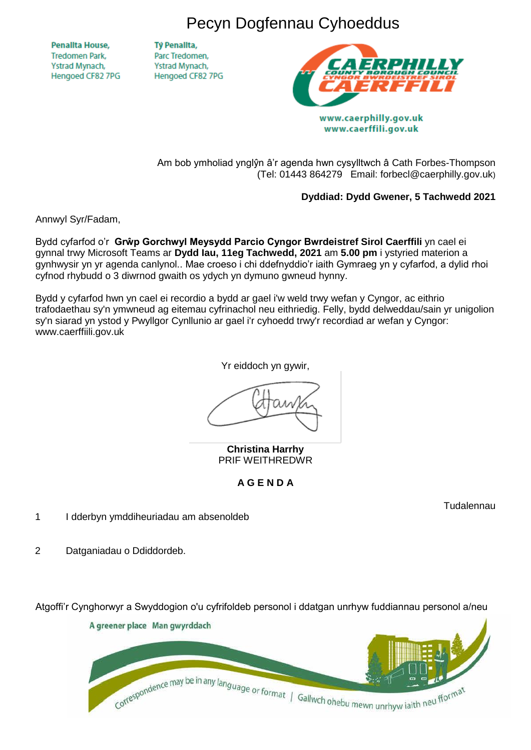Pecyn Dogfennau Cyhoeddus

**Penallta House, Tredomen Park.** Ystrad Mynach, Hengoed CF82 7PG

**TV Penallta,** Parc Tredomen. Ystrad Mynach, Hengoed CF82 7PG



www.caerphilly.gov.uk www.caerffili.gov.uk

Am bob ymholiad ynglŷn â'r agenda hwn cysylltwch â Cath Forbes-Thompson (Tel: 01443 864279 Email: forbecl@caerphilly.gov.uk)

# **Dyddiad: Dydd Gwener, 5 Tachwedd 2021**

Annwyl Syr/Fadam,

Bydd cyfarfod o'r **Grŵp Gorchwyl Meysydd Parcio Cyngor Bwrdeistref Sirol Caerffili** yn cael ei gynnal trwy Microsoft Teams ar **Dydd Iau, 11eg Tachwedd, 2021** am **5.00 pm** i ystyried materion a gynhwysir yn yr agenda canlynol.. Mae croeso i chi ddefnyddio'r iaith Gymraeg yn y cyfarfod, a dylid rhoi cyfnod rhybudd o 3 diwrnod gwaith os ydych yn dymuno gwneud hynny.

Bydd y cyfarfod hwn yn cael ei recordio a bydd ar gael i'w weld trwy wefan y Cyngor, ac eithrio trafodaethau sy'n ymwneud ag eitemau cyfrinachol neu eithriedig. Felly, bydd delweddau/sain yr unigolion sy'n siarad yn ystod y Pwyllgor Cynllunio ar gael i'r cyhoedd trwy'r recordiad ar wefan y Cyngor: www.caerffiili.gov.uk

Yr eiddoch yn gywir,

**Christina Harrhy** PRIF WEITHREDWR

# **A G E N D A**

Tudalennau

- 1 I dderbyn ymddiheuriadau am absenoldeb
- 2 Datganiadau o Ddiddordeb.

Atgoffi'r Cynghorwyr a Swyddogion o'u cyfrifoldeb personol i ddatgan unrhyw fuddiannau personol a/neu

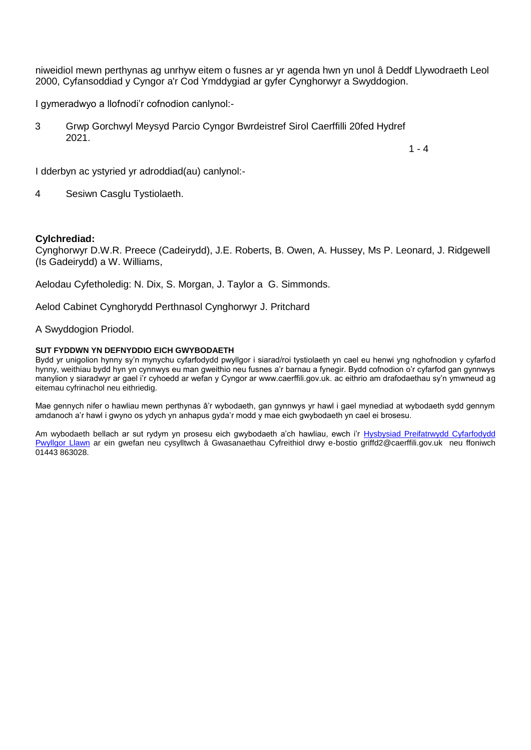niweidiol mewn perthynas ag unrhyw eitem o fusnes ar yr agenda hwn yn unol â Deddf Llywodraeth Leol 2000, Cyfansoddiad y Cyngor a'r Cod Ymddygiad ar gyfer Cynghorwyr a Swyddogion.

I gymeradwyo a llofnodi'r cofnodion canlynol:-

3 Grwp Gorchwyl Meysyd Parcio Cyngor Bwrdeistref Sirol Caerffilli 20fed Hydref 2021.

 $1 - 4$ 

I dderbyn ac ystyried yr adroddiad(au) canlynol:-

4 Sesiwn Casglu Tystiolaeth.

#### **Cylchrediad:**

Cynghorwyr D.W.R. Preece (Cadeirydd), J.E. Roberts, B. Owen, A. Hussey, Ms P. Leonard, J. Ridgewell (Is Gadeirydd) a W. Williams,

Aelodau Cyfetholedig: N. Dix, S. Morgan, J. Taylor a G. Simmonds.

Aelod Cabinet Cynghorydd Perthnasol Cynghorwyr J. Pritchard

#### A Swyddogion Priodol.

#### **SUT FYDDWN YN DEFNYDDIO EICH GWYBODAETH**

Bydd yr unigolion hynny sy'n mynychu cyfarfodydd pwyllgor i siarad/roi tystiolaeth yn cael eu henwi yng nghofnodion y cyfarfod hynny, weithiau bydd hyn yn cynnwys eu man gweithio neu fusnes a'r barnau a fynegir. Bydd cofnodion o'r cyfarfod gan gynnwys manylion y siaradwyr ar gael i'r cyhoedd ar wefan y Cyngor ar www.caerffili.gov.uk. ac eithrio am drafodaethau sy'n ymwneud ag eitemau cyfrinachol neu eithriedig.

Mae gennych nifer o hawliau mewn perthynas â'r wybodaeth, gan gynnwys yr hawl i gael mynediad at wybodaeth sydd gennym amdanoch a'r hawl i gwyno os ydych yn anhapus gyda'r modd y mae eich gwybodaeth yn cael ei brosesu.

Am wybodaeth bellach ar sut rydym yn prosesu eich gwybodaeth a'ch hawliau, ewch i'r Hysbysiad Preifatrwydd Cyfarfodydd [Pwyllgor Llawn](http://www.caerffili.gov.uk/Pwyllgor/Preifatrwydd) ar ein gwefan neu cysylltwch â Gwasanaethau Cyfreithiol drwy e-bostio griffd2@caerffili.gov.uk neu ffoniwch 01443 863028.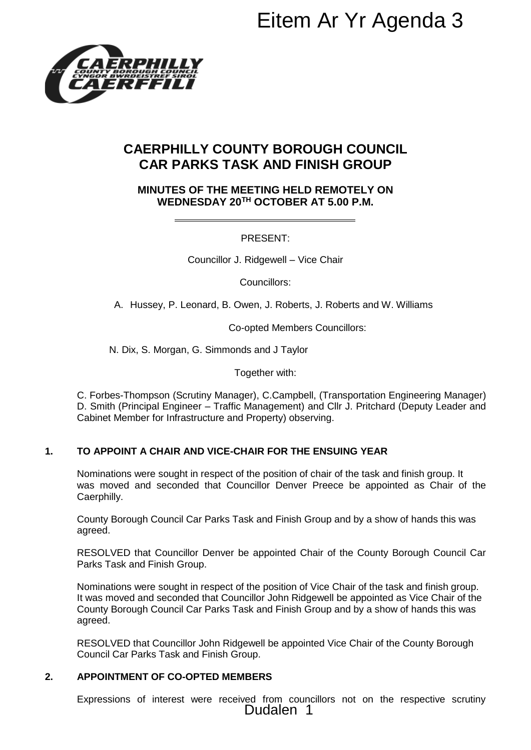

# **CAERPHILLY COUNTY BOROUGH COUNCIL CAR PARKS TASK AND FINISH GROUP**

## **MINUTES OF THE MEETING HELD REMOTELY ON WEDNESDAY 20TH OCTOBER AT 5.00 P.M.**

# PRESENT:

Councillor J. Ridgewell – Vice Chair

Councillors:

A. Hussey, P. Leonard, B. Owen, J. Roberts, J. Roberts and W. Williams

Co-opted Members Councillors:

N. Dix, S. Morgan, G. Simmonds and J Taylor

Together with:

C. Forbes-Thompson (Scrutiny Manager), C.Campbell, (Transportation Engineering Manager) D. Smith (Principal Engineer – Traffic Management) and Cllr J. Pritchard (Deputy Leader and Cabinet Member for Infrastructure and Property) observing.

# **1. TO APPOINT A CHAIR AND VICE-CHAIR FOR THE ENSUING YEAR**

Nominations were sought in respect of the position of chair of the task and finish group. It was moved and seconded that Councillor Denver Preece be appointed as Chair of the Caerphilly.

County Borough Council Car Parks Task and Finish Group and by a show of hands this was agreed.

RESOLVED that Councillor Denver be appointed Chair of the County Borough Council Car Parks Task and Finish Group.

Nominations were sought in respect of the position of Vice Chair of the task and finish group. It was moved and seconded that Councillor John Ridgewell be appointed as Vice Chair of the County Borough Council Car Parks Task and Finish Group and by a show of hands this was agreed. **Eitem Ar Yr Agenda 3**<br> **Eitem Ar Yr Agenda 3**<br> **EFING HELD REMOTELY ON**<br> **EFING HELD REMOTELY ON**<br> **EFING HELD REMOTELY ON**<br> **PRESENT:**<br>
PRESENT:<br>
Ridgewell – Vice Chair<br>
Councillors:<br>
<br>
Ridgewell – Vice Chair<br>
Souncillor

RESOLVED that Councillor John Ridgewell be appointed Vice Chair of the County Borough Council Car Parks Task and Finish Group.

# **2. APPOINTMENT OF CO-OPTED MEMBERS**

Expressions of interest were received from councillors not on the respective scrutiny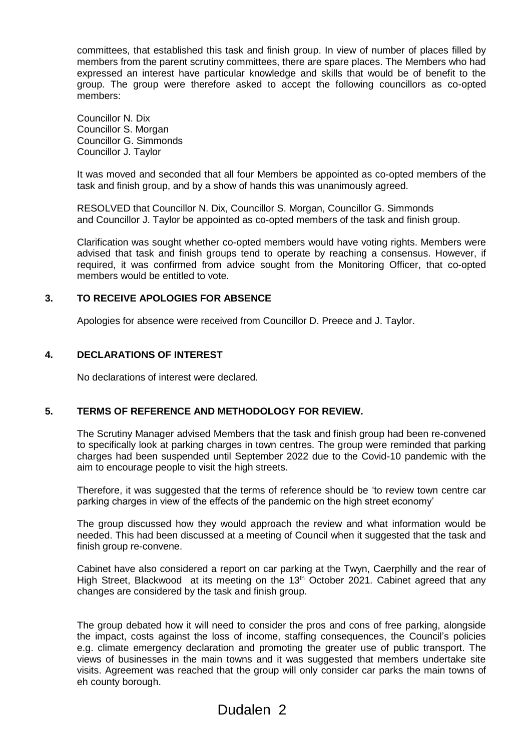committees, that established this task and finish group. In view of number of places filled by members from the parent scrutiny committees, there are spare places. The Members who had expressed an interest have particular knowledge and skills that would be of benefit to the group. The group were therefore asked to accept the following councillors as co-opted members:

Councillor N. Dix Councillor S. Morgan Councillor G. Simmonds Councillor J. Taylor

It was moved and seconded that all four Members be appointed as co-opted members of the task and finish group, and by a show of hands this was unanimously agreed.

RESOLVED that Councillor N. Dix, Councillor S. Morgan, Councillor G. Simmonds and Councillor J. Taylor be appointed as co-opted members of the task and finish group.

Clarification was sought whether co-opted members would have voting rights. Members were advised that task and finish groups tend to operate by reaching a consensus. However, if required, it was confirmed from advice sought from the Monitoring Officer, that co-opted members would be entitled to vote.

#### **3. TO RECEIVE APOLOGIES FOR ABSENCE**

Apologies for absence were received from Councillor D. Preece and J. Taylor.

#### **4. DECLARATIONS OF INTEREST**

No declarations of interest were declared.

### **5. TERMS OF REFERENCE AND METHODOLOGY FOR REVIEW.**

The Scrutiny Manager advised Members that the task and finish group had been re-convened to specifically look at parking charges in town centres. The group were reminded that parking charges had been suspended until September 2022 due to the Covid-10 pandemic with the aim to encourage people to visit the high streets.

Therefore, it was suggested that the terms of reference should be 'to review town centre car parking charges in view of the effects of the pandemic on the high street economy'

The group discussed how they would approach the review and what information would be needed. This had been discussed at a meeting of Council when it suggested that the task and finish group re-convene.

Cabinet have also considered a report on car parking at the Twyn, Caerphilly and the rear of High Street, Blackwood at its meeting on the 13<sup>th</sup> October 2021. Cabinet agreed that any changes are considered by the task and finish group.

The group debated how it will need to consider the pros and cons of free parking, alongside the impact, costs against the loss of income, staffing consequences, the Council's policies e.g. climate emergency declaration and promoting the greater use of public transport. The views of businesses in the main towns and it was suggested that members undertake site visits. Agreement was reached that the group will only consider car parks the main towns of eh county borough.

# Dudalen 2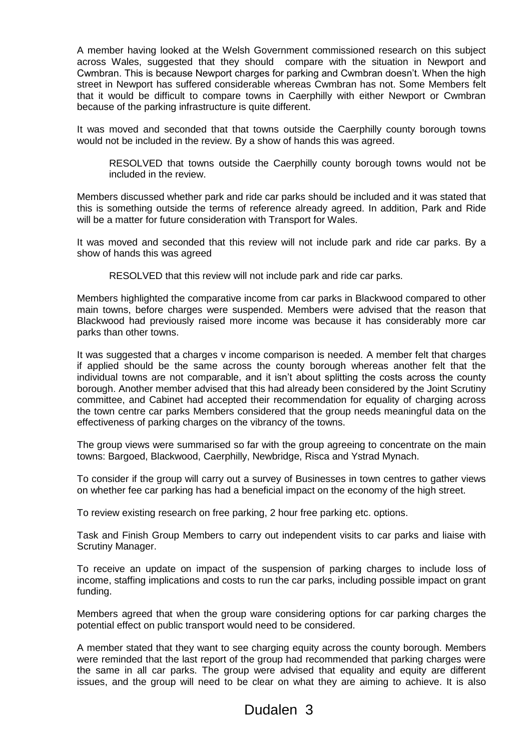A member having looked at the Welsh Government commissioned research on this subject across Wales, suggested that they should compare with the situation in Newport and Cwmbran. This is because Newport charges for parking and Cwmbran doesn't. When the high street in Newport has suffered considerable whereas Cwmbran has not. Some Members felt that it would be difficult to compare towns in Caerphilly with either Newport or Cwmbran because of the parking infrastructure is quite different.

It was moved and seconded that that towns outside the Caerphilly county borough towns would not be included in the review. By a show of hands this was agreed.

RESOLVED that towns outside the Caerphilly county borough towns would not be included in the review.

Members discussed whether park and ride car parks should be included and it was stated that this is something outside the terms of reference already agreed. In addition, Park and Ride will be a matter for future consideration with Transport for Wales.

It was moved and seconded that this review will not include park and ride car parks. By a show of hands this was agreed

RESOLVED that this review will not include park and ride car parks.

Members highlighted the comparative income from car parks in Blackwood compared to other main towns, before charges were suspended. Members were advised that the reason that Blackwood had previously raised more income was because it has considerably more car parks than other towns.

It was suggested that a charges v income comparison is needed. A member felt that charges if applied should be the same across the county borough whereas another felt that the individual towns are not comparable, and it isn't about splitting the costs across the county borough. Another member advised that this had already been considered by the Joint Scrutiny committee, and Cabinet had accepted their recommendation for equality of charging across the town centre car parks Members considered that the group needs meaningful data on the effectiveness of parking charges on the vibrancy of the towns.

The group views were summarised so far with the group agreeing to concentrate on the main towns: Bargoed, Blackwood, Caerphilly, Newbridge, Risca and Ystrad Mynach.

To consider if the group will carry out a survey of Businesses in town centres to gather views on whether fee car parking has had a beneficial impact on the economy of the high street.

To review existing research on free parking, 2 hour free parking etc. options.

Task and Finish Group Members to carry out independent visits to car parks and liaise with Scrutiny Manager.

To receive an update on impact of the suspension of parking charges to include loss of income, staffing implications and costs to run the car parks, including possible impact on grant funding.

Members agreed that when the group ware considering options for car parking charges the potential effect on public transport would need to be considered.

A member stated that they want to see charging equity across the county borough. Members were reminded that the last report of the group had recommended that parking charges were the same in all car parks. The group were advised that equality and equity are different issues, and the group will need to be clear on what they are aiming to achieve. It is also

# Dudalen 3